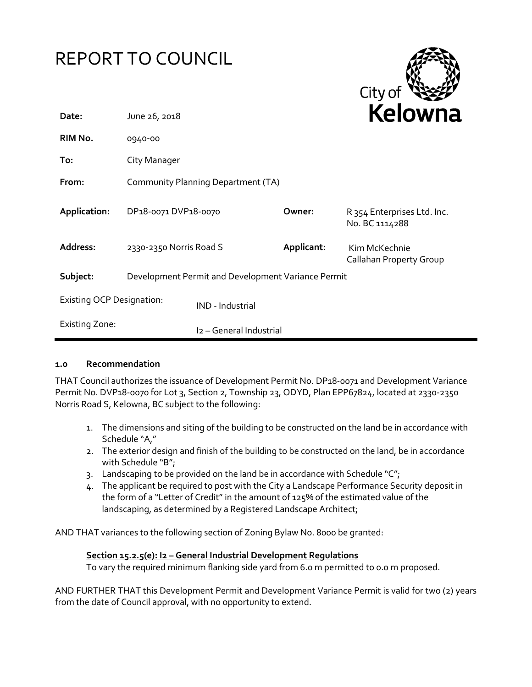# REPORT TO COUNCIL



| Date:                            | June 26, 2018                                      |                         | <b>Neluwii</b> c |                                               |
|----------------------------------|----------------------------------------------------|-------------------------|------------------|-----------------------------------------------|
| RIM No.                          | 0940-00                                            |                         |                  |                                               |
| To:                              | City Manager                                       |                         |                  |                                               |
| From:                            | Community Planning Department (TA)                 |                         |                  |                                               |
| Application:                     | DP18-0071 DVP18-0070                               |                         | Owner:           | R 354 Enterprises Ltd. Inc.<br>No. BC 1114288 |
| Address:                         | 2330-2350 Norris Road S                            |                         | Applicant:       | Kim McKechnie<br>Callahan Property Group      |
| Subject:                         | Development Permit and Development Variance Permit |                         |                  |                                               |
| <b>Existing OCP Designation:</b> |                                                    | IND - Industrial        |                  |                                               |
| <b>Existing Zone:</b>            |                                                    | I2 - General Industrial |                  |                                               |

#### **1.0 Recommendation**

THAT Council authorizes the issuance of Development Permit No. DP18-0071 and Development Variance Permit No. DVP18-0070 for Lot 3, Section 2, Township 23, ODYD, Plan EPP67824, located at 2330-2350 Norris Road S, Kelowna, BC subject to the following:

- 1. The dimensions and siting of the building to be constructed on the land be in accordance with Schedule "A,"
- 2. The exterior design and finish of the building to be constructed on the land, be in accordance with Schedule "B";
- 3. Landscaping to be provided on the land be in accordance with Schedule " $C$ ";
- 4. The applicant be required to post with the City a Landscape Performance Security deposit in the form of a "Letter of Credit" in the amount of 125% of the estimated value of the landscaping, as determined by a Registered Landscape Architect;

AND THAT variances to the following section of Zoning Bylaw No. 8000 be granted:

#### **Section 15.2.5(e): I2 – General Industrial Development Regulations**

To vary the required minimum flanking side yard from 6.0 m permitted to 0.0 m proposed.

AND FURTHER THAT this Development Permit and Development Variance Permit is valid for two (2) years from the date of Council approval, with no opportunity to extend.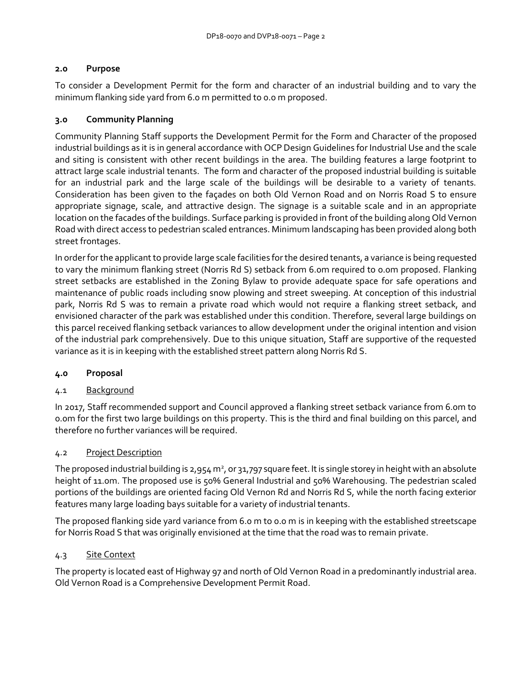#### **2.0 Purpose**

To consider a Development Permit for the form and character of an industrial building and to vary the minimum flanking side yard from 6.0 m permitted to 0.0 m proposed.

#### **3.0 Community Planning**

Community Planning Staff supports the Development Permit for the Form and Character of the proposed industrial buildings as it is in general accordance with OCP Design Guidelines for Industrial Use and the scale and siting is consistent with other recent buildings in the area. The building features a large footprint to attract large scale industrial tenants. The form and character of the proposed industrial building is suitable for an industrial park and the large scale of the buildings will be desirable to a variety of tenants. Consideration has been given to the façades on both Old Vernon Road and on Norris Road S to ensure appropriate signage, scale, and attractive design. The signage is a suitable scale and in an appropriate location on the facades of the buildings. Surface parking is provided in front of the building along Old Vernon Road with direct access to pedestrian scaled entrances. Minimum landscaping has been provided along both street frontages.

In order for the applicant to provide large scale facilities for the desired tenants, a variance is being requested to vary the minimum flanking street (Norris Rd S) setback from 6.0m required to 0.0m proposed. Flanking street setbacks are established in the Zoning Bylaw to provide adequate space for safe operations and maintenance of public roads including snow plowing and street sweeping. At conception of this industrial park, Norris Rd S was to remain a private road which would not require a flanking street setback, and envisioned character of the park was established under this condition. Therefore, several large buildings on this parcel received flanking setback variances to allow development under the original intention and vision of the industrial park comprehensively. Due to this unique situation, Staff are supportive of the requested variance as it is in keeping with the established street pattern along Norris Rd S.

#### **4.0 Proposal**

#### 4.1 Background

In 2017, Staff recommended support and Council approved a flanking street setback variance from 6.0m to 0.0m for the first two large buildings on this property. This is the third and final building on this parcel, and therefore no further variances will be required.

#### 4.2 Project Description

The proposed industrial building is 2,954 m<sup>2</sup>, or 31,797 square feet. It is single storey in height with an absolute height of 11.0m. The proposed use is 50% General Industrial and 50% Warehousing. The pedestrian scaled portions of the buildings are oriented facing Old Vernon Rd and Norris Rd S, while the north facing exterior features many large loading bays suitable for a variety of industrial tenants.

The proposed flanking side yard variance from 6.0 m to 0.0 m is in keeping with the established streetscape for Norris Road S that was originally envisioned at the time that the road was to remain private.

#### 4.3 Site Context

The property is located east of Highway 97 and north of Old Vernon Road in a predominantly industrial area. Old Vernon Road is a Comprehensive Development Permit Road.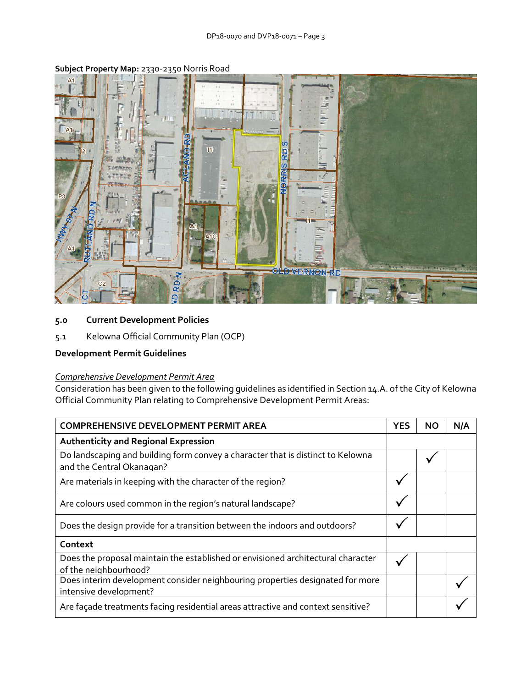

# **Subject Property Map:** 2330-2350 Norris Road

## **5.0 Current Development Policies**

5.1 Kelowna Official Community Plan (OCP)

### **Development Permit Guidelines**

#### *Comprehensive Development Permit Area*

Consideration has been given to the following guidelines as identified in Section 14.A. of the City of Kelowna Official Community Plan relating to Comprehensive Development Permit Areas:

| <b>COMPREHENSIVE DEVELOPMENT PERMIT AREA</b>                                                                 |  | NΟ | N/A |
|--------------------------------------------------------------------------------------------------------------|--|----|-----|
| <b>Authenticity and Regional Expression</b>                                                                  |  |    |     |
| Do landscaping and building form convey a character that is distinct to Kelowna<br>and the Central Okanagan? |  |    |     |
| Are materials in keeping with the character of the region?                                                   |  |    |     |
| Are colours used common in the region's natural landscape?                                                   |  |    |     |
| Does the design provide for a transition between the indoors and outdoors?                                   |  |    |     |
| Context                                                                                                      |  |    |     |
| Does the proposal maintain the established or envisioned architectural character<br>of the neighbourhood?    |  |    |     |
| Does interim development consider neighbouring properties designated for more<br>intensive development?      |  |    |     |
| Are façade treatments facing residential areas attractive and context sensitive?                             |  |    |     |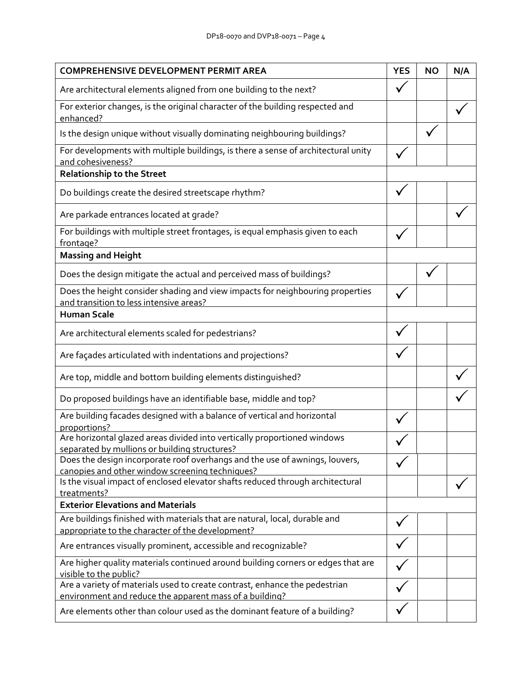| <b>COMPREHENSIVE DEVELOPMENT PERMIT AREA</b>                                                                                          |  | <b>NO</b> | N/A |
|---------------------------------------------------------------------------------------------------------------------------------------|--|-----------|-----|
| Are architectural elements aligned from one building to the next?                                                                     |  |           |     |
| For exterior changes, is the original character of the building respected and<br>enhanced?                                            |  |           |     |
| Is the design unique without visually dominating neighbouring buildings?                                                              |  |           |     |
| For developments with multiple buildings, is there a sense of architectural unity<br>and cohesiveness?                                |  |           |     |
| <b>Relationship to the Street</b>                                                                                                     |  |           |     |
| Do buildings create the desired streetscape rhythm?                                                                                   |  |           |     |
| Are parkade entrances located at grade?                                                                                               |  |           |     |
| For buildings with multiple street frontages, is equal emphasis given to each<br>frontage?                                            |  |           |     |
| <b>Massing and Height</b>                                                                                                             |  |           |     |
| Does the design mitigate the actual and perceived mass of buildings?                                                                  |  |           |     |
| Does the height consider shading and view impacts for neighbouring properties<br>and transition to less intensive areas?              |  |           |     |
| <b>Human Scale</b>                                                                                                                    |  |           |     |
| Are architectural elements scaled for pedestrians?                                                                                    |  |           |     |
| Are façades articulated with indentations and projections?                                                                            |  |           |     |
| Are top, middle and bottom building elements distinguished?                                                                           |  |           |     |
| Do proposed buildings have an identifiable base, middle and top?                                                                      |  |           |     |
| Are building facades designed with a balance of vertical and horizontal<br>proportions?                                               |  |           |     |
| Are horizontal glazed areas divided into vertically proportioned windows<br>separated by mullions or building structures?             |  |           |     |
| Does the design incorporate roof overhangs and the use of awnings, louvers,<br>canopies and other window screening techniques?        |  |           |     |
| Is the visual impact of enclosed elevator shafts reduced through architectural<br>treatments?                                         |  |           |     |
| <b>Exterior Elevations and Materials</b>                                                                                              |  |           |     |
| Are buildings finished with materials that are natural, local, durable and<br>appropriate to the character of the development?        |  |           |     |
| Are entrances visually prominent, accessible and recognizable?                                                                        |  |           |     |
| Are higher quality materials continued around building corners or edges that are<br>visible to the public?                            |  |           |     |
| Are a variety of materials used to create contrast, enhance the pedestrian<br>environment and reduce the apparent mass of a building? |  |           |     |
| Are elements other than colour used as the dominant feature of a building?                                                            |  |           |     |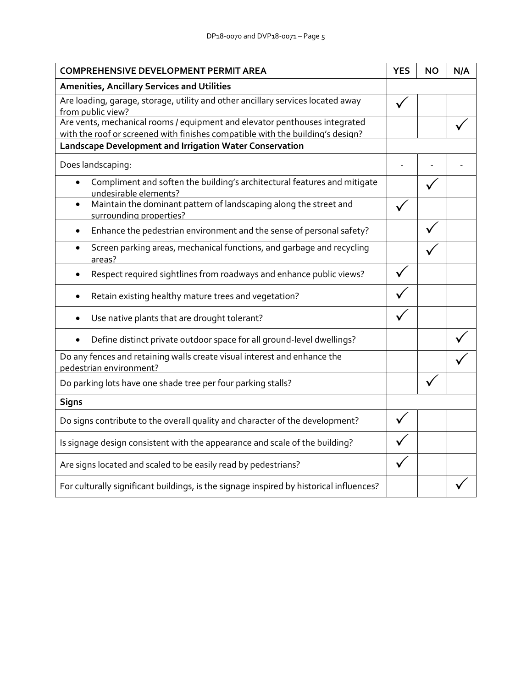| <b>COMPREHENSIVE DEVELOPMENT PERMIT AREA</b>                                                                                                                 |  | NΟ | N/A |
|--------------------------------------------------------------------------------------------------------------------------------------------------------------|--|----|-----|
| Amenities, Ancillary Services and Utilities                                                                                                                  |  |    |     |
| Are loading, garage, storage, utility and other ancillary services located away<br>from public view?                                                         |  |    |     |
| Are vents, mechanical rooms / equipment and elevator penthouses integrated<br>with the roof or screened with finishes compatible with the building's design? |  |    |     |
| Landscape Development and Irrigation Water Conservation                                                                                                      |  |    |     |
| Does landscaping:                                                                                                                                            |  |    |     |
| Compliment and soften the building's architectural features and mitigate<br>$\bullet$<br>undesirable elements?                                               |  |    |     |
| Maintain the dominant pattern of landscaping along the street and<br>$\bullet$<br>surrounding properties?                                                    |  |    |     |
| Enhance the pedestrian environment and the sense of personal safety?<br>٠                                                                                    |  |    |     |
| Screen parking areas, mechanical functions, and garbage and recycling<br>areas?                                                                              |  |    |     |
| Respect required sightlines from roadways and enhance public views?                                                                                          |  |    |     |
| Retain existing healthy mature trees and vegetation?                                                                                                         |  |    |     |
| Use native plants that are drought tolerant?                                                                                                                 |  |    |     |
| Define distinct private outdoor space for all ground-level dwellings?                                                                                        |  |    |     |
| Do any fences and retaining walls create visual interest and enhance the<br>pedestrian environment?                                                          |  |    |     |
| Do parking lots have one shade tree per four parking stalls?                                                                                                 |  |    |     |
| <b>Signs</b>                                                                                                                                                 |  |    |     |
| Do signs contribute to the overall quality and character of the development?                                                                                 |  |    |     |
| Is signage design consistent with the appearance and scale of the building?                                                                                  |  |    |     |
| Are signs located and scaled to be easily read by pedestrians?                                                                                               |  |    |     |
| For culturally significant buildings, is the signage inspired by historical influences?                                                                      |  |    |     |